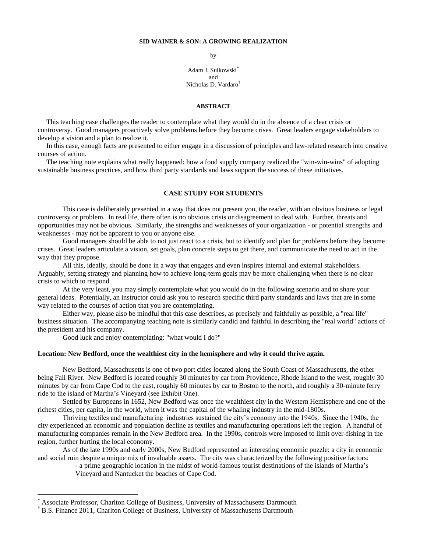### **SID WAINER & SON: A GROWING REALIZATION**

by

Adam J. Sulkowski\* and Nicholas D. Vardaro†

#### **ABSTRACT**

 This teaching case challenges the reader to contemplate what they would do in the absence of a clear crisis or controversy. Good managers proactively solve problems before they become crises. Great leaders engage stakeholders to develop a vision and a plan to realize it.

 In this case, enough facts are presented to either engage in a discussion of principles and law-related research into creative courses of action.

 The teaching note explains what really happened: how a food supply company realized the "win-win-wins" of adopting sustainable business practices, and how third party standards and laws support the success of these initiatives.

## **CASE STUDY FOR STUDENTS**

This case is deliberately presented in a way that does not present you, the reader, with an obvious business or legal controversy or problem. In real life, there often is no obvious crisis or disagreement to deal with. Further, threats and opportunities may not be obvious. Similarly, the strengths and weaknesses of your organization - or potential strengths and weaknesses - may not be apparent to you or anyone else.

Good managers should be able to not just react to a crisis, but to identify and plan for problems before they become crises. Great leaders articulate a vision, set goals, plan concrete steps to get there, and communicate the need to act in the way that they propose.

All this, ideally, should be done in a way that engages and even inspires internal and external stakeholders. Arguably, setting strategy and planning how to achieve long-term goals may be more challenging when there is no clear crisis to which to respond.

At the very least, you may simply contemplate what you would do in the following scenario and to share your general ideas. Potentially, an instructor could ask you to research specific third party standards and laws that are in some way related to the courses of action that you are contemplating.

Either way, please also be mindful that this case describes, as precisely and faithfully as possible, a "real life" business situation. The accompanying teaching note is similarly candid and faithful in describing the "real world" actions of the president and his company.

Good luck and enjoy contemplating: "what would I do?"

## **Location: New Bedford, once the wealthiest city in the hemisphere and why it could thrive again.**

New Bedford, Massachusetts is one of two port cities located along the South Coast of Massachusetts, the other being Fall River. New Bedford is located roughly 30 minutes by car from Providence, Rhode Island to the west, roughly 30 minutes by car from Cape Cod to the east, roughly 60 minutes by car to Boston to the north, and roughly a 30-minute ferry ride to the island of Martha"s Vineyard (see Exhibit One).

Settled by Europeans in 1652, New Bedford was once the wealthiest city in the Western Hemisphere and one of the richest cities, per capita, in the world, when it was the capital of the whaling industry in the mid-1800s.

Thriving textiles and manufacturing industries sustained the city"s economy into the 1940s. Since the 1940s, the city experienced an economic and population decline as textiles and manufacturing operations left the region. A handful of manufacturing companies remain in the New Bedford area. In the 1990s, controls were imposed to limit over-fishing in the region, further hurting the local economy.

As of the late 1990s and early 2000s, New Bedford represented an interesting economic puzzle: a city in economic and social ruin despite a unique mix of invaluable assets. The city was characterized by the following positive factors:

> - a prime geographic location in the midst of world-famous tourist destinations of the islands of Martha"s Vineyard and Nantucket the beaches of Cape Cod.

 $\overline{a}$ 

Associate Professor, Charlton College of Business, University of Massachusetts Dartmouth

<sup>†</sup> B.S. Finance 2011, Charlton College of Business, University of Massachusetts Dartmouth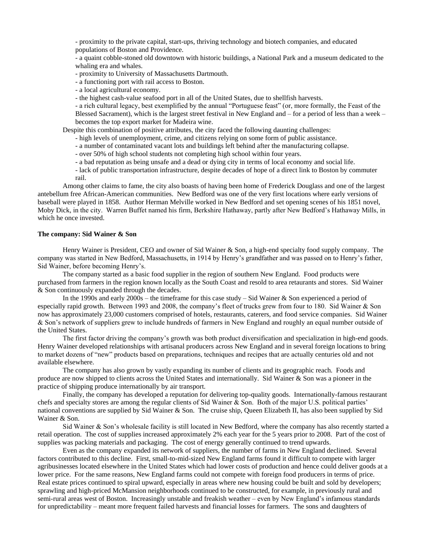- proximity to the private capital, start-ups, thriving technology and biotech companies, and educated populations of Boston and Providence.

- a quaint cobble-stoned old downtown with historic buildings, a National Park and a museum dedicated to the whaling era and whales.

- proximity to University of Massachusetts Dartmouth.

- a functioning port with rail access to Boston.

- a local agricultural economy.

- the highest cash-value seafood port in all of the United States, due to shellfish harvests.

- a rich cultural legacy, best exemplified by the annual "Portuguese feast" (or, more formally, the Feast of the Blessed Sacrament), which is the largest street festival in New England and  $-$  for a period of less than a week  $$ becomes the top export market for Madeira wine.

Despite this combination of positive attributes, the city faced the following daunting challenges:

- high levels of unemployment, crime, and citizens relying on some form of public assistance.

- a number of contaminated vacant lots and buildings left behind after the manufacturing collapse.
- over 50% of high school students not completing high school within four years.
- a bad reputation as being unsafe and a dead or dying city in terms of local economy and social life.

- lack of public transportation infrastructure, despite decades of hope of a direct link to Boston by commuter rail.

Among other claims to fame, the city also boasts of having been home of Frederick Douglass and one of the largest antebellum free African-American communities. New Bedford was one of the very first locations where early versions of baseball were played in 1858. Author Herman Melville worked in New Bedford and set opening scenes of his 1851 novel, Moby Dick, in the city. Warren Buffet named his firm, Berkshire Hathaway, partly after New Bedford"s Hathaway Mills, in which he once invested.

# **The company: Sid Wainer & Son**

Henry Wainer is President, CEO and owner of Sid Wainer & Son, a high-end specialty food supply company. The company was started in New Bedford, Massachusetts, in 1914 by Henry"s grandfather and was passed on to Henry"s father, Sid Wainer, before becoming Henry"s.

The company started as a basic food supplier in the region of southern New England. Food products were purchased from farmers in the region known locally as the South Coast and resold to area retaurants and stores. Sid Wainer & Son continuously expanded through the decades.

In the 1990s and early 2000s – the timeframe for this case study – Sid Wainer & Son experienced a period of especially rapid growth. Between 1993 and 2008, the company's fleet of trucks grew from four to 180. Sid Wainer & Son now has approximately 23,000 customers comprised of hotels, restaurants, caterers, and food service companies. Sid Wainer & Son"s network of suppliers grew to include hundreds of farmers in New England and roughly an equal number outside of the United States.

The first factor driving the company"s growth was both product diversification and specialization in high-end goods. Henry Wainer developed relationships with artisanal producers across New England and in several foreign locations to bring to market dozens of "new" products based on preparations, techniques and recipes that are actually centuries old and not available elsewhere.

The company has also grown by vastly expanding its number of clients and its geographic reach. Foods and produce are now shipped to clients across the United States and internationally. Sid Wainer & Son was a pioneer in the practice of shipping produce internationally by air transport.

Finally, the company has developed a reputation for delivering top-quality goods. Internationally-famous restaurant chefs and specialty stores are among the regular clients of Sid Wainer & Son. Both of the major U.S. political parties' national conventions are supplied by Sid Wainer & Son. The cruise ship, Queen Elizabeth II, has also been supplied by Sid Wainer & Son.

Sid Wainer & Son's wholesale facility is still located in New Bedford, where the company has also recently started a retail operation. The cost of supplies increased approximately 2% each year for the 5 years prior to 2008. Part of the cost of supplies was packing materials and packaging. The cost of energy generally continued to trend upwards.

Even as the company expanded its network of suppliers, the number of farms in New England declined. Several factors contributed to this decline. First, small-to-mid-sized New England farms found it difficult to compete with larger agribusinesses located elsewhere in the United States which had lower costs of production and hence could deliver goods at a lower price. For the same reasons, New England farms could not compete with foreign food producers in terms of price. Real estate prices continued to spiral upward, especially in areas where new housing could be built and sold by developers; sprawling and high-priced McMansion neighborhoods continued to be constructed, for example, in previously rural and semi-rural areas west of Boston. Increasingly unstable and freakish weather – even by New England's infamous standards for unpredictability – meant more frequent failed harvests and financial losses for farmers. The sons and daughters of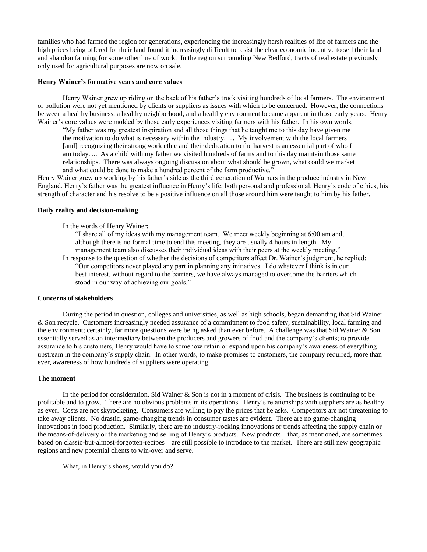families who had farmed the region for generations, experiencing the increasingly harsh realities of life of farmers and the high prices being offered for their land found it increasingly difficult to resist the clear economic incentive to sell their land and abandon farming for some other line of work. In the region surrounding New Bedford, tracts of real estate previously only used for agricultural purposes are now on sale.

### **Henry Wainer's formative years and core values**

Henry Wainer grew up riding on the back of his father"s truck visiting hundreds of local farmers. The environment or pollution were not yet mentioned by clients or suppliers as issues with which to be concerned. However, the connections between a healthy business, a healthy neighborhood, and a healthy environment became apparent in those early years. Henry Wainer's core values were molded by those early experiences visiting farmers with his father. In his own words,

"My father was my greatest inspiration and all those things that he taught me to this day have given me the motivation to do what is necessary within the industry. ... My involvement with the local farmers [and] recognizing their strong work ethic and their dedication to the harvest is an essential part of who I am today. ... As a child with my father we visited hundreds of farms and to this day maintain those same relationships. There was always ongoing discussion about what should be grown, what could we market and what could be done to make a hundred percent of the farm productive."

Henry Wainer grew up working by his father"s side as the third generation of Wainers in the produce industry in New England. Henry"s father was the greatest influence in Henry"s life, both personal and professional. Henry"s code of ethics, his strength of character and his resolve to be a positive influence on all those around him were taught to him by his father.

### **Daily reality and decision-making**

In the words of Henry Wainer:

"I share all of my ideas with my management team. We meet weekly beginning at 6:00 am and, although there is no formal time to end this meeting, they are usually 4 hours in length. My management team also discusses their individual ideas with their peers at the weekly meeting." In response to the question of whether the decisions of competitors affect Dr. Wainer"s judgment, he replied: "Our competitors never played any part in planning any initiatives. I do whatever I think is in our best interest, without regard to the barriers, we have always managed to overcome the barriers which stood in our way of achieving our goals."

## **Concerns of stakeholders**

During the period in question, colleges and universities, as well as high schools, began demanding that Sid Wainer & Son recycle. Customers increasingly needed assurance of a commitment to food safety, sustainability, local farming and the environment; certainly, far more questions were being asked than ever before. A challenge was that Sid Wainer & Son essentially served as an intermediary between the producers and growers of food and the company"s clients; to provide assurance to his customers, Henry would have to somehow retain or expand upon his company"s awareness of everything upstream in the company"s supply chain. In other words, to make promises to customers, the company required, more than ever, awareness of how hundreds of suppliers were operating.

### **The moment**

In the period for consideration, Sid Wainer & Son is not in a moment of crisis. The business is continuing to be profitable and to grow. There are no obvious problems in its operations. Henry"s relationships with suppliers are as healthy as ever. Costs are not skyrocketing. Consumers are willing to pay the prices that he asks. Competitors are not threatening to take away clients. No drastic, game-changing trends in consumer tastes are evident. There are no game-changing innovations in food production. Similarly, there are no industry-rocking innovations or trends affecting the supply chain or the means-of-delivery or the marketing and selling of Henry"s products. New products – that, as mentioned, are sometimes based on classic-but-almost-forgotten-recipes – are still possible to introduce to the market. There are still new geographic regions and new potential clients to win-over and serve.

What, in Henry's shoes, would you do?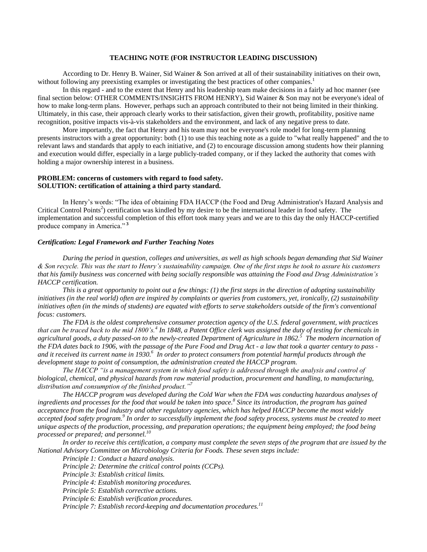# **TEACHING NOTE (FOR INSTRUCTOR LEADING DISCUSSION)**

According to Dr. Henry B. Wainer, Sid Wainer & Son arrived at all of their sustainability initiatives on their own, without following any preexisting examples or investigating the best practices of other companies.<sup>1</sup>

In this regard - and to the extent that Henry and his leadership team make decisions in a fairly ad hoc manner (see final section below: OTHER COMMENTS/INSIGHTS FROM HENRY), Sid Wainer & Son may not be everyone's ideal of how to make long-term plans. However, perhaps such an approach contributed to their not being limited in their thinking. Ultimately, in this case, their approach clearly works to their satisfaction, given their growth, profitability, positive name recognition, positive impacts vis-à-vis stakeholders and the environment, and lack of any negative press to date.

More importantly, the fact that Henry and his team may not be everyone's role model for long-term planning presents instructors with a great opportunity: both (1) to use this teaching note as a guide to "what really happened" and the to relevant laws and standards that apply to each initiative, and (2) to encourage discussion among students how their planning and execution would differ, especially in a large publicly-traded company, or if they lacked the authority that comes with holding a major ownership interest in a business.

## **PROBLEM: concerns of customers with regard to food safety. SOLUTION: certification of attaining a third party standard.**

In Henry"s words: "The idea of obtaining FDA HACCP (the Food and Drug Administration's Hazard Analysis and Critical Control Points<sup>2</sup>) certification was kindled by my desire to be the international leader in food safety. The implementation and successful completion of this effort took many years and we are to this day the only HACCP-certified produce company in America." **<sup>3</sup>**

## *Certification: Legal Framework and Further Teaching Notes*

*During the period in question, colleges and universities, as well as high schools began demanding that Sid Wainer & Son recycle. This was the start to Henry's sustainability campaign. One of the first steps he took to assure his customers that his family business was concerned with being socially responsible was attaining the Food and Drug Administration's HACCP certification.* 

*This is a great opportunity to point out a few things: (1) the first steps in the direction of adopting sustainability initiatives (in the real world) often are inspired by complaints or queries from customers, yet, ironically, (2) sustainability initiatives often (in the minds of students) are equated with efforts to serve stakeholders outside of the firm's conventional focus: customers.*

*The FDA is the oldest comprehensive consumer protection agency of the U.S. federal government, with practices that can be traced back to the mid 1800's.<sup>4</sup> In 1848, a Patent Office clerk was assigned the duty of testing for chemicals in agricultural goods, a duty passed-on to the newly-created Department of Agriculture in 1862.<sup>5</sup> The modern incarnation of the FDA dates back to 1906, with the passage of the Pure Food and Drug Act - a law that took a quarter century to pass and it received its current name in 1930.<sup>6</sup> In order to protect consumers from potential harmful products through the development stage to point of consumption, the administration created the HACCP program.* 

*The HACCP "is a management system in which food safety is addressed through the analysis and control of biological, chemical, and physical hazards from raw material production, procurement and handling, to manufacturing, distribution and consumption of the finished product."<sup>7</sup>*

*The HACCP program was developed during the Cold War when the FDA was conducting hazardous analyses of ingredients and processes for the food that would be taken into space.<sup>8</sup> Since its introduction, the program has gained acceptance from the food industry and other regulatory agencies, which has helped HACCP become the most widely accepted food safety program.<sup>9</sup> In order to successfully implement the food safety process, systems must be created to meet unique aspects of the production, processing, and preparation operations; the equipment being employed; the food being processed or prepared; and personnel.<sup>10</sup>*

In order to receive this certification, a company must complete the seven steps of the program that are issued by the *National Advisory Committee on Microbiology Criteria for Foods. These seven steps include:*

*Principle 1: Conduct a hazard analysis.*

*Principle 2: Determine the critical control points (CCPs).*

*Principle 3: Establish critical limits.*

*Principle 4: Establish monitoring procedures.*

*Principle 5: Establish corrective actions.*

*Principle 6: Establish verification procedures.*

*Principle 7: Establish record-keeping and documentation procedures.<sup>11</sup>*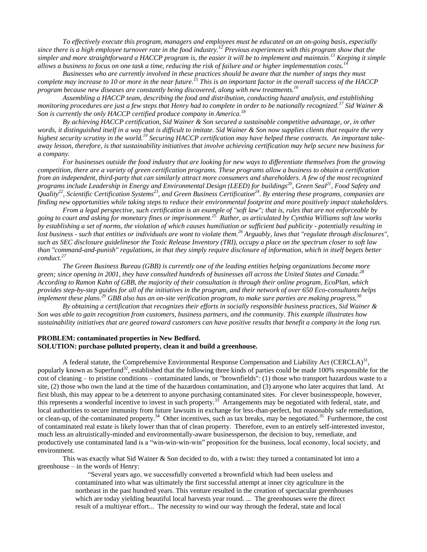*To effectively execute this program, managers and employees must be educated on an on-going basis, especially since there is a high employee turnover rate in the food industry.<sup>12</sup> Previous experiences with this program show that the simpler and more straightforward a HACCP program is, the easier it will be to implement and maintain.<sup>13</sup> Keeping it simple allows a business to focus on one task a time, reducing the risk of failure and or higher implementation costs.<sup>14</sup>*

*Businesses who are currently involved in these practices should be aware that the number of steps they must complete may increase to 10 or more in the near future.<sup>15</sup> This is an important factor in the overall success of the HACCP program because new diseases are constantly being discovered, along with new treatments.<sup>16</sup>*

*Assembling a HACCP team, describing the food and distribution, conducting hazard analysis, and establishing monitoring procedures are just a few steps that Henry had to complete in order to be nationally recognized.<sup>17</sup> Sid Wainer & Son is currently the only HACCP certified produce company in America.<sup>18</sup>*

*By achieving HACCP certification, Sid Wainer & Son secured a sustainable competitive advantage, or, in other words, it distinguished itself in a way that is difficult to imitate. Sid Wainer & Son now supplies clients that require the very highest security scrutiny in the world.<sup>19</sup> Securing HACCP certification may have helped these contracts. An important takeaway lesson, therefore, is that sustainability initiatives that involve achieving certification may help secure new business for a company.*

*For businesses outside the food industry that are looking for new ways to differentiate themselves from the growing competition, there are a variety of green certification programs. These programs allow a business to obtain a certification from an independent, third-party that can similarly attract more consumers and shareholders. A few of the most recognized programs include Leadership in Energy and Environmental Design (LEED) for buildings<sup>20</sup>, Green Seal<sup>21</sup>, Food Safety and Quality<sup>22</sup>, Scientific Certification Systems<sup>23</sup>, and Green Business Certification<sup>24</sup>. By entering these programs, companies are finding new opportunities while taking steps to reduce their environmental footprint and more positively impact stakeholders.*

*From a legal perspective, such certification is an example of "soft law"; that is, rules that are not enforceable by going to court and asking for monetary fines or imprisonment.<sup>25</sup> Rather, as articulated by Cynthia Williams soft law works by establishing a set of norms, the violation of which causes humiliation or sufficient bad publicity - potentially resulting in lost business - such that entities or individuals are wont to violate them.<sup>26</sup> Arguably, laws that "regulate through disclosures", such as SEC disclosure guidelinesor the Toxic Release Inventory (TRI), occupy a place on the spectrum closer to soft law than "command-and-punish" regulations, in that they simply require disclosure of information, which in itself begets better conduct.<sup>27</sup>*

*The Green Business Bureau (GBB) is currently one of the leading entities helping organizations become more green; since opening in 2001, they have consulted hundreds of businesses all across the United States and Canada.<sup>28</sup> According to Ramon Kahn of GBB, the majority of their consultation is through their online program, EcoPlan, which provides step-by-step guides for all of the initiatives in the program, and their network of over 650 Eco-consultants helps implement these plans.<sup>29</sup> GBB also has an on-site verification program, to make sure parties are making progress.<sup>30</sup>*

*By obtaining a certification that recognizes their efforts in socially responsible business practices, Sid Wainer & Son was able to gain recognition from customers, business partners, and the community. This example illustrates how sustainability initiatives that are geared toward customers can have positive results that benefit a company in the long run.*

## **PROBLEM: contaminated properties in New Bedford. SOLUTION: purchase polluted property, clean it and build a greenhouse.**

A federal statute, the Comprehensive Environmental Response Compensation and Liability Act (CERCLA) $^{31}$ , popularly known as Superfund<sup>32</sup>, established that the following three kinds of parties could be made 100% responsible for the cost of cleaning – to pristine conditions – contaminated lands, or "brownfields": (1) those who transport hazardous waste to a site, (2) those who own the land at the time of the hazardous contamination, and (3) anyone who later acquires that land. At first blush, this may appear to be a deterrent to anyone purchasing contaminated sites. For clever businesspeople, however, this represents a wonderful incentive to invest in such property.<sup>33</sup> Arrangements may be negotiated with federal, state, and local authorities to secure immunity from future lawsuits in exchange for less-than-perfect, but reasonably safe remediation, or clean-up, of the contaminated property.<sup>34</sup> Other incentives, such as tax breaks, may be negotiated.<sup>35</sup> Furthermore, the cost of contaminated real estate is likely lower than that of clean property. Therefore, even to an entirely self-interested investor, much less an altruistically-minded and environmentally-aware businessperson, the decision to buy, remediate, and productively use contaminated land is a "win-win-win-win" proposition for the business, local economy, local society, and environment.

This was exactly what Sid Wainer & Son decided to do, with a twist: they turned a contaminated lot into a greenhouse – in the words of Henry:

> "Several years ago, we successfully converted a brownfield which had been useless and contaminated into what was ultimately the first successful attempt at inner city agriculture in the northeast in the past hundred years. This venture resulted in the creation of spectacular greenhouses which are today yielding beautiful local harvests year round. ... The greenhouses were the direct result of a multiyear effort... The necessity to wind our way through the federal, state and local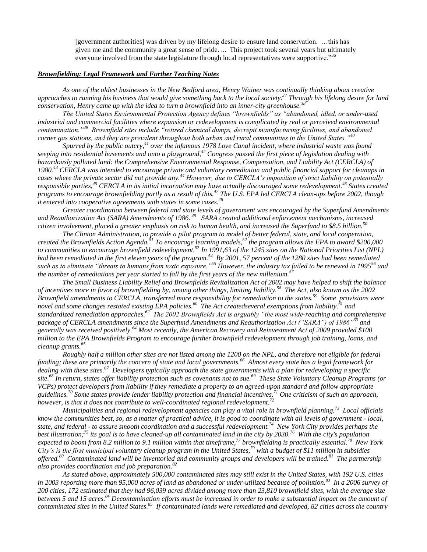[government authorities] was driven by my lifelong desire to ensure land conservation. …this has given me and the community a great sense of pride. ... This project took several years but ultimately everyone involved from the state legislature through local representatives were supportive."<sup>36</sup>

# *Brownfielding: Legal Framework and Further Teaching Notes*

*As one of the oldest businesses in the New Bedford area, Henry Wainer was continually thinking about creative approaches to running his business that would give something back to the local society.<sup>37</sup> Through his lifelong desire for land conservation, Henry came up with the idea to turn a brownfield into an inner-city greenhouse.<sup>38</sup>*

*The United States Environmental Protection Agency defines "brownfields" as "abandoned, idled, or under-used industrial and commercial facilities where expansion or redevelopment is complicated by real or perceived environmental contamination."<sup>39</sup> Brownfield sites include "retired chemical dumps, decrepit manufacturing facilities, and abandoned corner gas stations, and they are prevalent throughout both urban and rural communities in the United States."<sup>40</sup>*

*Spurred by the public outcry,<sup>41</sup> over the infamous 1978 Love Canal incident, where industrial waste was found seeping into residential basements and onto a playground,<sup>42</sup> Congress passed the first piece of legislation dealing with hazardously polluted land: the Comprehensive Environmental Response, Compensation, and Liability Act (CERCLA) of 1980.<sup>43</sup> CERCLA was intended to encourage private and voluntary remediation and public financial support for cleanups in cases where the private sector did not provide any.<sup>44</sup> However, due to CERCLA's imposition of strict liability on potentially responsible parties,<sup>45</sup> CERCLA in its initial incarnation may have actually discouraged some redevelopment. <sup>46</sup> States created programs to encourage brownfielding partly as a result of this.<sup>47</sup> The U.S. EPA led CERCLA clean-ups before 2002, though it entered into cooperative agreements with states in some cases.<sup>48</sup>* 

*Greater coordination between federal and state levels of government was encouraged by the Superfund Amendments and Reauthorization Act (SARA) Amendments of 1986. <sup>49</sup> SARA created additional enforcement mechanisms, increased citizen involvement, placed a greater emphasis on risk to human health, and increased the Superfund to \$8.5 billion.<sup>50</sup>*

*The Clinton Administration, to provide a pilot program to model of better federal, state, and local cooperation, created the Brownfields Action Agenda.<sup>51</sup> To encourage learning models,<sup>52</sup> the program allows the EPA to award \$200,000 to communities to encourage brownfield redevelopment.*<sup>53</sup> *In 1991,63 of the 1245 sites on the National Priorities List (NPL) had been remediated in the first eleven years of the program.<sup>54</sup> By 2001, 57 percent of the 1280 sites had been remediated such as to eliminate "threats to humans from toxic exposure."<sup>55</sup> However, the industry tax failed to be renewed in 1995 <sup>56</sup> and the number of remediations per year started to fall by the first years of the new millenium.<sup>57</sup>*

*The Small Business Liability Relief and Brownfields Revitalization Act of 2002 may have helped to shift the balance of incentives more in favor of brownfielding by, among other things, limiting liability.<sup>58</sup> The Act, also known as the 2002 Brownfield amendments to CERCLA, transferred more responsibility for remediation to the states.<sup>59</sup> Some provisions were novel and some changes restated existing EPA policies. <sup>60</sup> The Act createdseveral exemptions from liability.<sup>61</sup> and*  standardized remediation approaches.<sup>62</sup> The 2002 Brownfields Act is arguably "the most wide-reaching and comprehensive *package of CERCLA amendments since the Superfund Amendments and Reauthorization Act ("SARA") of 1986"<sup>63</sup> and generally was received positively.<sup>64</sup> Most recently, the American Recovery and Reinvestment Act of 2009 provided \$100 million to the [EPA Brownfields Program](http://www.epa.gov/brownfields/index.html) to encourage further brownfield redevelopment through job training, loans, and cleanup grants.<sup>65</sup>* 

*Roughly half a million other sites are not listed among the 1200 on the NPL, and therefore not eligible for federal funding; these are primarily the concern of state and local governments.<sup>66</sup> Almost every state has a legal framework for dealing with these sites.<sup>67</sup> Developers typically approach the state governments with a plan for redeveloping a specific site.<sup>68</sup> In return, states offer liability protection such as covenants not to sue.<sup>69</sup> These State Voluntary Cleanup Programs (or VCPs) protect developers from liability if they remediate a property to an agreed-upon standard and follow appropriate guidelines.<sup>70</sup> Some states provide lender liability protection and financial incentives. <sup>71</sup> One criticism of such an approach, however, is that it does not contribute to well-coordinated regional redevelopment.<sup>72</sup>*

*Municipalities and regional redevelopment agencies can play a vital role in brownfield planning.<sup>73</sup> Local officials know the communities best, so, as a matter of practical advice, it is good to coordinate with all levels of government - local, state, and federal - to assure smooth coordination and a successful redevelopment.<sup>74</sup> New York City provides perhaps the best illustration;<sup>75</sup> its goal is to have cleaned-up all contaminated land in the city by 2030.<sup>76</sup> With the city's population expected to boom from 8.2 million to 9.1 million within that timeframe,<sup>77</sup> brownfielding is practically essential.<sup>78</sup> New York City's is the first municipal voluntary cleanup program in the United States,<sup>79</sup> with a budget of \$11 million in subsidies offered.<sup>80</sup> Contaminated land will be inventoried and community groups and developers will be trained.<sup>81</sup> The partnership also provides coordination and job preparation.<sup>82</sup>*

*As stated above, approximately 500,000 contaminated sites may still exist in the United States, with 192 U.S. cities in 2003 reporting more than 95,000 acres of land as abandoned or under-utilized because of pollution.<sup>83</sup> In a 2006 survey of 200 cities, 172 estimated that they had 96,039 acres divided among more than 23,810 brownfield sites, with the average size between 5 and 15 acres.<sup>84</sup> Decontamination efforts must be increased in order to make a substantial impact on the amount of*  contaminated sites in the United States.<sup>85</sup> If contaminated lands were remediated and developed, 82 cities across the country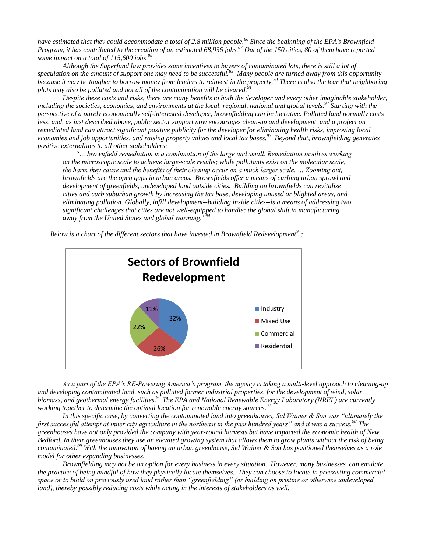*have estimated that they could accommodate a total of 2.8 million people.<sup>86</sup> Since the beginning of the EPA's Brownfield Program, it has contributed to the creation of an estimated 68,936 jobs.<sup>87</sup> Out of the 150 cities, 80 of them have reported some impact on a total of 115,600 jobs.<sup>88</sup>*

*Although the Superfund law provides some incentives to buyers of contaminated lots, there is still a lot of speculation on the amount of support one may need to be successful.<sup>89</sup> Many people are turned away from this opportunity because it may be tougher to borrow money from lenders to reinvest in the property.<sup>90</sup> There is also the fear that neighboring plots may also be polluted and not all of the contamination will be cleared.*<sup>9</sup>

Despite these costs and risks, there are many benefits to both the developer and every other imaginable stakeholder, *including the societies, economies, and environments at the local, regional, national and global levels.<sup>92</sup> Starting with the perspective of a purely economically self-interested developer, brownfielding can be lucrative. Polluted land normally costs less, and, as just described above, public sector support now encourages clean-up and development, and a project on remediated land can attract significant positive publicity for the developer for eliminating health risks, improving local economies and job opportunities, and raising property values and local tax bases.<sup>93</sup> Beyond that, brownfielding generates positive externalities to all other stakeholders:*

*"… brownfield remediation is a combination of the large and small. Remediation involves working on the microscopic scale to achieve large-scale results; while pollutants exist on the molecular scale, the harm they cause and the benefits of their cleanup occur on a much larger scale. … Zooming out, brownfields are the open gaps in urban areas. Brownfields offer a means of curbing urban sprawl and development of greenfields, undeveloped land outside cities. Building on brownfields can revitalize cities and curb suburban growth by increasing the tax base, developing unused or blighted areas, and eliminating pollution. Globally, infill development--building inside cities--is a means of addressing two significant challenges that cities are not well-equipped to handle: the global shift in manufacturing away from the United States and global warming."<sup>94</sup>*

*Below is a chart of the different sectors that have invested in Brownfield Redevelopment<sup>95</sup> :*



*As a part of the EPA's RE-Powering America's program, the agency is taking a multi-level approach to cleaning-up and developing contaminated land, such as polluted former industrial properties, for the development of wind, solar, biomass, and geothermal energy facilities.<sup>96</sup> The EPA and National Renewable Energy Laboratory (NREL) are currently working together to determine the optimal location for renewable energy sources.<sup>97</sup>*

*In this specific case, by converting the contaminated land into greenhouses, Sid Wainer & Son was "ultimately the first successful attempt at inner city agriculture in the northeast in the past hundred years" and it was a success.<sup>98</sup> The greenhouses have not only provided the company with year-round harvests but have impacted the economic health of New Bedford. In their greenhouses they use an elevated growing system that allows them to grow plants without the risk of being contaminated.<sup>99</sup> With the innovation of having an urban greenhouse, Sid Wainer & Son has positioned themselves as a role model for other expanding businesses.* 

*Brownfielding may not be an option for every business in every situation. However, many businesses can emulate the practice of being mindful of how they physically locate themselves. They can choose to locate in preexisting commercial space or to build on previously used land rather than "greenfielding" (or building on pristine or otherwise undeveloped land), thereby possibly reducing costs while acting in the interests of stakeholders as well.*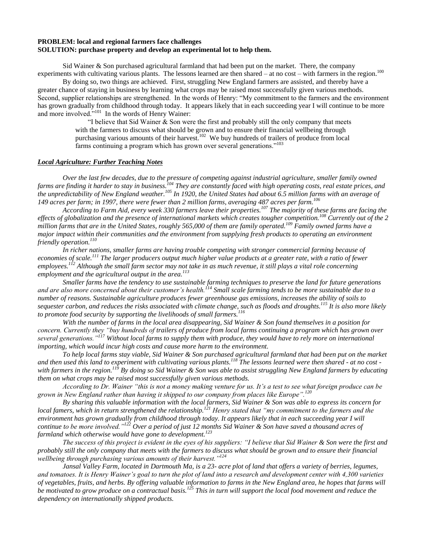# **PROBLEM: local and regional farmers face challenges SOLUTION: purchase property and develop an experimental lot to help them.**

Sid Wainer & Son purchased agricultural farmland that had been put on the market. There, the company experiments with cultivating various plants. The lessons learned are then shared – at no cost – with farmers in the region.<sup>100</sup>

By doing so, two things are achieved. First, struggling New England farmers are assisted, and thereby have a greater chance of staying in business by learning what crops may be raised most successfully given various methods. Second, supplier relationships are strengthened. In the words of Henry: "My commitment to the farmers and the environment has grown gradually from childhood through today. It appears likely that in each succeeding year I will continue to be more and more involved."<sup>101</sup> In the words of Henry Wainer:

> "I believe that Sid Wainer & Son were the first and probably still the only company that meets with the farmers to discuss what should be grown and to ensure their financial wellbeing through purchasing various amounts of their harvest.<sup>102</sup> We buy hundreds of trailers of produce from local farms continuing a program which has grown over several generations."<sup>103</sup>

### *Local Agriculture: Further Teaching Notes*

*Over the last few decades, due to the pressure of competing against industrial agriculture, smaller family owned farms are finding it harder to stay in business.<sup>104</sup> They are constantly faced with high operating costs, real estate prices, and the unpredictability of New England weather.<sup>105</sup> In 1920, the United States had about 6.5 million farms with an average of 149 acres per farm; in 1997, there were fewer than 2 million farms, averaging 487 acres per farm.<sup>106</sup>*

*According to Farm Aid, every week 330 farmers leave their properties.<sup>107</sup> The majority of these farms are facing the effects of globalization and the presence of international markets which creates tougher competition.<sup>108</sup> Currently out of the 2 million farms that are in the United States, roughly 565,000 of them are family operated.<sup>109</sup> Family owned farms have a major impact within their communities and the environment from supplying fresh products to operating an environment friendly operation.<sup>110</sup>*

*In richer nations, smaller farms are having trouble competing with stronger commercial farming because of economies of scale.<sup>111</sup> The larger producers output much higher value products at a greater rate, with a ratio of fewer employees.<sup>112</sup> Although the small farm sector may not take in as much revenue, it still plays a vital role concerning employment and the agricultural output in the area.<sup>113</sup>*

*Smaller farms have the tendency to use sustainable farming techniques to preserve the land for future generations and are also more concerned about their customer's health.<sup>114</sup> Small scale farming tends to be more sustainable due to a number of reasons. Sustainable agriculture produces fewer greenhouse gas emissions, increases the ability of soils to sequester carbon, and reduces the risks associated with climate change, such as floods and droughts.<sup>115</sup> It is also more likely to promote food security by supporting the livelihoods of small farmers.<sup>116</sup>*

*With the number of farms in the local area disappearing, Sid Wainer & Son found themselves in a position for concern. Currently they "buy hundreds of trailers of produce from local farms continuing a program which has grown over several generations."<sup>117</sup> Without local farms to supply them with produce, they would have to rely more on international importing, which would incur high costs and cause more harm to the environment.* 

*To help local farms stay viable, Sid Wainer & Son purchased agricultural farmland that had been put on the market and then used this land to experiment with cultivating various plants.<sup>118</sup> The lessons learned were then shared - at no cost with farmers in the region.<sup>119</sup> By doing so Sid Wainer & Son was able to assist struggling New England farmers by educating them on what crops may be raised most successfully given various methods.* 

*According to Dr. Wainer "this is not a money making venture for us. It's a test to see what foreign produce can be grown in New England rather than having it shipped to our company from places like Europe".<sup>120</sup>*

*By sharing this valuable information with the local farmers, Sid Wainer & Son was able to express its concern for local famers, which in return strengthened the relationship.<sup>121</sup> Henry stated that "my commitment to the farmers and the*  environment has grown gradually from childhood through today. It appears likely that in each succeeding year I will *continue to be more involved."<sup>122</sup> Over a period of just 12 months Sid Wainer & Son have saved a thousand acres of farmland which otherwise would have gone to development.<sup>123</sup>*

*The success of this project is evident in the eyes of his suppliers: "I believe that Sid Wainer & Son were the first and probably still the only company that meets with the farmers to discuss what should be grown and to ensure their financial wellbeing through purchasing various amounts of their harvest."<sup>124</sup>*

*Jansal Valley Farm, located in Dartmouth Ma, is a 23- acre plot of land that offers a variety of berries, legumes, and tomatoes. It is Henry Wainer's goal to turn the plot of land into a research and development center with 4,300 varieties of vegetables, fruits, and herbs. By offering valuable information to farms in the New England area, he hopes that farms will be motivated to grow produce on a contractual basis.<sup>125</sup> This in turn will support the local food movement and reduce the dependency on internationally shipped products.*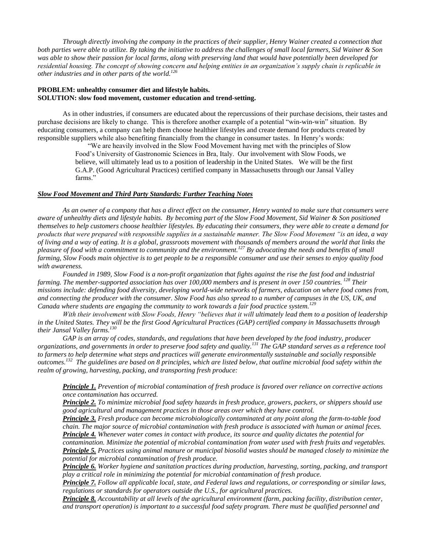*Through directly involving the company in the practices of their supplier, Henry Wainer created a connection that both parties were able to utilize. By taking the initiative to address the challenges of small local farmers, Sid Wainer & Son was able to show their passion for local farms, along with preserving land that would have potentially been developed for residential housing. The concept of showing concern and helping entities in an organization's supply chain is replicable in other industries and in other parts of the world.<sup>126</sup>*

# **PROBLEM: unhealthy consumer diet and lifestyle habits. SOLUTION: slow food movement, customer education and trend-setting.**

As in other industries, if consumers are educated about the repercussions of their purchase decisions, their tastes and purchase decisions are likely to change. This is therefore another example of a potential "win-win-win" situation. By educating consumers, a company can help them choose healthier lifestyles and create demand for products created by responsible suppliers while also benefiting financially from the change in consumer tastes. In Henry"s words:

"We are heavily involved in the Slow Food Movement having met with the principles of Slow Food"s University of Gastronomic Sciences in Bra, Italy. Our involvement with Slow Foods, we believe, will ultimately lead us to a position of leadership in the United States. We will be the first G.A.P. (Good Agricultural Practices) certified company in Massachusetts through our Jansal Valley farms."

## *Slow Food Movement and Third Party Standards: Further Teaching Notes*

*As an owner of a company that has a direct effect on the consumer, Henry wanted to make sure that consumers were aware of unhealthy diets and lifestyle habits. By becoming part of the Slow Food Movement, Sid Wainer & Son positioned themselves to help customers choose healthier lifestyles. By educating their consumers, they were able to create a demand for products that were prepared with responsible supplies in a sustainable manner. The Slow Food Movement "is an idea, a way of living and a way of eating. It is a global, grassroots movement with thousands of members around the world that links the pleasure of food with a commitment to community and the environment.<sup>127</sup> By advocating the needs and benefits of small farming, Slow Foods main objective is to get people to be a responsible consumer and use their senses to enjoy quality food with awareness.*

*Founded in 1989, Slow Food is a non-profit organization that fights against the rise the fast food and industrial farming. The member-supported association has over 100,000 members and is present in over 150 countries. <sup>128</sup> Their missions include: defending food diversity, developing world-wide networks of farmers, education on where food comes from, and connecting the producer with the consumer. Slow Food has also spread to a number of campuses in the US, UK, and Canada where students are engaging the community to work towards a fair food practice system.<sup>129</sup>*

*With their involvement with Slow Foods, Henry "believes that it will ultimately lead them to a position of leadership in the United States. They will be the first Good Agricultural Practices (GAP) certified company in Massachusetts through their Jansal Valley farms.<sup>130</sup>*

*GAP is an array of codes, standards, and regulations that have been developed by the food industry, producer organizations, and governments in order to preserve food safety and quality.<sup>131</sup> The GAP standard serves as a reference tool to farmers to help determine what steps and practices will generate environmentally sustainable and socially responsible outcomes.<sup>132</sup> The guidelines are based on 8 principles, which are listed below, that outline microbial food safety within the realm of growing, harvesting, packing, and transporting fresh produce:*

*Principle 1. Prevention of microbial contamination of fresh produce is favored over reliance on corrective actions once contamination has occurred.*

*Principle 2. To minimize microbial food safety hazards in fresh produce, growers, packers, or shippers should use good agricultural and management practices in those areas over which they have control.*

*Principle 3. Fresh produce can become microbiologically contaminated at any point along the farm-to-table food chain. The major source of microbial contamination with fresh produce is associated with human or animal feces. Principle 4. Whenever water comes in contact with produce, its source and quality dictates the potential for* 

*contamination. Minimize the potential of microbial contamination from water used with fresh fruits and vegetables. Principle 5. Practices using animal manure or municipal biosolid wastes should be managed closely to minimize the potential for microbial contamination of fresh produce.*

*Principle 6. Worker hygiene and sanitation practices during production, harvesting, sorting, packing, and transport play a critical role in minimizing the potential for microbial contamination of fresh produce.*

*Principle 7. Follow all applicable local, state, and Federal laws and regulations, or corresponding or similar laws, regulations or standards for operators outside the U.S., for agricultural practices.*

*Principle 8. Accountability at all levels of the agricultural environment (farm, packing facility, distribution center, and transport operation) is important to a successful food safety program. There must be qualified personnel and*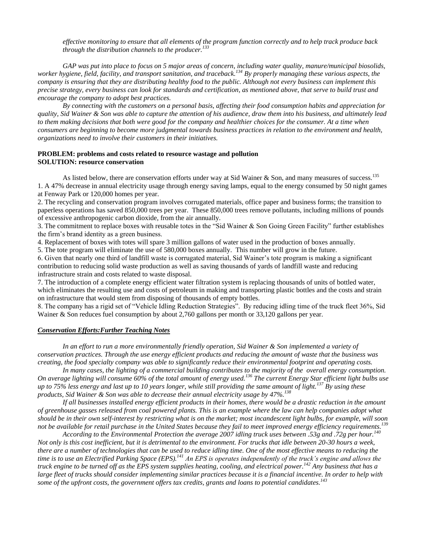*effective monitoring to ensure that all elements of the program function correctly and to help track produce back through the distribution channels to the producer.<sup>133</sup>*

*GAP was put into place to focus on 5 major areas of concern, including water quality, manure/municipal biosolids, worker hygiene, field, facility, and transport sanitation, and traceback.<sup>134</sup> By properly managing these various aspects, the company is ensuring that they are distributing healthy food to the public. Although not every business can implement this precise strategy, every business can look for standards and certification, as mentioned above, that serve to build trust and encourage the company to adopt best practices.*

*By connecting with the customers on a personal basis, affecting their food consumption habits and appreciation for quality, Sid Wainer & Son was able to capture the attention of his audience, draw them into his business, and ultimately lead to them making decisions that both were good for the company and healthier choices for the consumer. At a time when consumers are beginning to become more judgmental towards business practices in relation to the environment and health, organizations need to involve their customers in their initiatives.*

# **PROBLEM: problems and costs related to resource wastage and pollution SOLUTION: resource conservation**

As listed below, there are conservation efforts under way at Sid Wainer & Son, and many measures of success.<sup>135</sup> 1. A 47% decrease in annual electricity usage through energy saving lamps, equal to the energy consumed by 50 night games at Fenway Park or 120,000 homes per year.

2. The recycling and conservation program involves corrugated materials, office paper and business forms; the transition to paperless operations has saved 850,000 trees per year. These 850,000 trees remove pollutants, including millions of pounds of excessive anthropogenic carbon dioxide, from the air annually.

3. The commitment to replace boxes with reusable totes in the "Sid Wainer & Son Going Green Facility" further establishes the firm"s brand identity as a green business.

4. Replacement of boxes with totes will spare 3 million gallons of water used in the production of boxes annually.

5. The tote program will eliminate the use of 580,000 boxes annually. This number will grow in the future.

6. Given that nearly one third of landfill waste is corrugated material, Sid Wainer"s tote program is making a significant contribution to reducing solid waste production as well as saving thousands of yards of landfill waste and reducing infrastructure strain and costs related to waste disposal.

7. The introduction of a complete energy efficient water filtration system is replacing thousands of units of bottled water, which eliminates the resulting use and costs of petroleum in making and transporting plastic bottles and the costs and strain on infrastructure that would stem from disposing of thousands of empty bottles.

8. The company has a rigid set of "Vehicle Idling Reduction Strategies". By reducing idling time of the truck fleet 36%, Sid Wainer & Son reduces fuel consumption by about 2,760 gallons per month or 33,120 gallons per year.

# *Conservation Efforts:Further Teaching Notes*

*In an effort to run a more environmentally friendly operation, Sid Wainer & Son implemented a variety of conservation practices. Through the use energy efficient products and reducing the amount of waste that the business was creating, the food specialty company was able to significantly reduce their environmental footprint and operating costs.*

In many cases, the lighting of a commercial building contributes to the majority of the overall energy consumption. *On average lighting will consume 60% of the total amount of energy used.<sup>136</sup> The current Energy Star efficient light bulbs use up to 75% less energy and last up to 10 years longer, while still providing the same amount of light.<sup>137</sup> By using these products, Sid Wainer & Son was able to decrease their annual electricity usage by 47%.<sup>138</sup>*

*If all businesses installed energy efficient products in their homes, there would be a drastic reduction in the amount of greenhouse gasses released from coal powered plants. This is an example where the law can help companies adopt what should be in their own self-interest by restricting what is on the market; most incandescent light bulbs, for example, will soon not be available for retail purchase in the United States because they fail to meet improved energy efficiency requirements.<sup>139</sup>*

*According to the Environmental Protection the average 2007 idling truck uses between .53g and .72g per hour.<sup>140</sup> Not only is this cost inefficient, but it is detrimental to the environment. For trucks that idle between 20-30 hours a week, there are a number of technologies that can be used to reduce idling time. One of the most effective means to reducing the time is to use an Electrified Parking Space (EPS).<sup>141</sup> An EPS is operates independently of the truck's engine and allows the truck engine to be turned off as the EPS system supplies heating, cooling, and electrical power.<sup>142</sup> Any business that has a large fleet of trucks should consider implementing similar practices because it is a financial incentive. In order to help with some of the upfront costs, the government offers tax credits, grants and loans to potential candidates.<sup>143</sup>*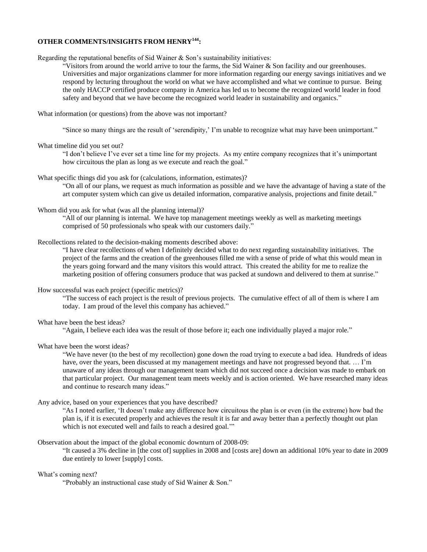# **OTHER COMMENTS/INSIGHTS FROM HENRY<sup>144</sup>:**

Regarding the reputational benefits of Sid Wainer & Son"s sustainability initiatives:

"Visitors from around the world arrive to tour the farms, the Sid Wainer & Son facility and our greenhouses. Universities and major organizations clammer for more information regarding our energy savings initiatives and we respond by lecturing throughout the world on what we have accomplished and what we continue to pursue. Being the only HACCP certified produce company in America has led us to become the recognized world leader in food safety and beyond that we have become the recognized world leader in sustainability and organics."

What information (or questions) from the above was not important?

"Since so many things are the result of "serendipity," I"m unable to recognize what may have been unimportant."

### What timeline did you set out?

"I don"t believe I"ve ever set a time line for my projects. As my entire company recognizes that it"s unimportant how circuitous the plan as long as we execute and reach the goal."

### What specific things did you ask for (calculations, information, estimates)?

"On all of our plans, we request as much information as possible and we have the advantage of having a state of the art computer system which can give us detailed information, comparative analysis, projections and finite detail."

### Whom did you ask for what (was all the planning internal)?

"All of our planning is internal. We have top management meetings weekly as well as marketing meetings comprised of 50 professionals who speak with our customers daily."

# Recollections related to the decision-making moments described above:

"I have clear recollections of when I definitely decided what to do next regarding sustainability initiatives. The project of the farms and the creation of the greenhouses filled me with a sense of pride of what this would mean in the years going forward and the many visitors this would attract. This created the ability for me to realize the marketing position of offering consumers produce that was packed at sundown and delivered to them at sunrise."

## How successful was each project (specific metrics)?

"The success of each project is the result of previous projects. The cumulative effect of all of them is where I am today. I am proud of the level this company has achieved."

## What have been the best ideas?

"Again, I believe each idea was the result of those before it; each one individually played a major role."

## What have been the worst ideas?

"We have never (to the best of my recollection) gone down the road trying to execute a bad idea. Hundreds of ideas have, over the years, been discussed at my management meetings and have not progressed beyond that. ... I'm unaware of any ideas through our management team which did not succeed once a decision was made to embark on that particular project. Our management team meets weekly and is action oriented. We have researched many ideas and continue to research many ideas."

### Any advice, based on your experiences that you have described?

"As I noted earlier, "It doesn"t make any difference how circuitous the plan is or even (in the extreme) how bad the plan is, if it is executed properly and achieves the result it is far and away better than a perfectly thought out plan which is not executed well and fails to reach a desired goal."

#### Observation about the impact of the global economic downturn of 2008-09:

"It caused a 3% decline in [the cost of] supplies in 2008 and [costs are] down an additional 10% year to date in 2009 due entirely to lower [supply] costs.

### What's coming next?

"Probably an instructional case study of Sid Wainer & Son."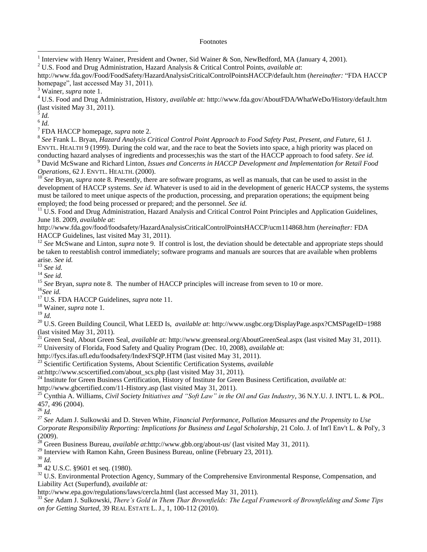## Footnotes

*Id.* 6 *Id.*

 $\overline{a}$ 

7 FDA HACCP homepage, *supra* note 2.

8 *See* Frank L. Bryan, *Hazard Analysis Critical Control Point Approach to Food Safety Past, Present, and Future*, 61 J. ENVTL. HEALTH 9 (1999). During the cold war, and the race to beat the Soviets into space, a high priority was placed on conducting hazard analyses of ingredients and processes;his was the start of the HACCP approach to food safety. *See id.* <sup>9</sup> David McSwane and Richard Linton, *Issues and Concerns in HACCP Development and Implementation for Retail Food* 

*Operations,* 62 J. ENVTL. HEALTH. (2000).

<sup>10</sup> *See* Bryan, *supra* note 8. Presently, there are software programs, as well as manuals, that can be used to assist in the development of HACCP systems. *See id.* Whatever is used to aid in the development of generic HACCP systems, the systems must be tailored to meet unique aspects of the production, processing, and preparation operations; the equipment being employed; the food being processed or prepared; and the personnel. *See id.*

 $11 \text{ U.S.}$  Food and Drug Administration, Hazard Analysis and Critical Control Point Principles and Application Guidelines, June 18. 2009, *available at*:

<http://www.fda.gov/food/foodsafety/HazardAnalysisCriticalControlPointsHACCP/ucm114868.htm> (*hereinafter:* FDA HACCP Guidelines, last visited May 31, 2011).

<sup>12</sup> See McSwane and Linton, *supra* note 9. If control is lost, the deviation should be detectable and appropriate steps should be taken to reestablish control immediately; software programs and manuals are sources that are available when problems arise. *See id.*

<sup>13</sup> *See id.*

<sup>14</sup> *See id.*

<sup>15</sup> *See Bryan, supra note 8.* The number of HACCP principles will increase from seven to 10 or more.

<sup>16</sup>*See id.*

<sup>17</sup> [U.S.](../../../../Downloads/U.S) FDA HACCP Guidelines, *supra* note 11.

<sup>18</sup> Wainer, *supra* note 1.

<sup>19</sup> *Id.*

<sup>20</sup> U.S. Green Building Council, What LEED Is, *available at*: <http://www.usgbc.org/DisplayPage.aspx?CMSPageID=1988> (last visited May 31, 2011).

<sup>21</sup> Green Seal, About Green Seal, *available at:* <http://www.greenseal.org/AboutGreenSeal.aspx> (last visited May 31, 2011). <sup>22</sup> University of Florida, Food Safety and Quality Program (Dec. 10, 2008), *available a*t:

<http://fycs.ifas.ufl.edu/foodsafety/IndexFSQP.HTM> (last visited May 31, 2011).

<sup>23</sup> Scientific Certification Systems, About Scientific Certification Systems, *available* 

*at*[:http://www.scscertified.com/about\\_scs.php](http://www.scscertified.com/about_scs.php) (last visited May 31, 2011).

<sup>24</sup> Institute for Green Business Certification, History of Institute for Green Business Certification, *available at:* 

<http://www.gbcertified.com/11-History.asp> (last visited May 31, 2011).

<sup>25</sup> Cynthia A. Williams, *Civil Society Initiatives and "Soft Law" in the Oil and Gas Industry*, 36 N.Y.U. J. INT'L L. & POL. 457, 496 (2004).

<sup>26</sup> *Id.*

<sup>27</sup> *See* Adam J. Sulkowski and D. Steven White, *Financial Performance, Pollution Measures and the Propensity to Use Corporate Responsibility Reporting: Implications for Business and Legal Scholarship*, 21 Colo. J. of Int'l Env't L. & Pol'y, 3 (2009).

<sup>28</sup> Green Business Bureau, *available at*[:http://www.gbb.org/about-us/](http://www.gbb.org/about-us/) (last visited May 31, 2011).

 $^{29}$  Interview with Ramon Kahn, Green Business Bureau, online (February 23, 2011).

<sup>30</sup> *Id.*

**<sup>31</sup>** 42 U.S.C. §9601 et seq. (1980).

<sup>32</sup> U.S. Environmental Protection Agency, Summary of the Comprehensive Environmental Response, Compensation, and Liability Act (Superfund), *available at:*

<http://www.epa.gov/regulations/laws/cercla.html> (last accessed May 31, 2011).

<sup>33</sup> *See* Adam J. Sulkowski, *There's Gold in Them Thar Brownfields: The Legal Framework of Brownfielding and Some Tips on for Getting Started*, 39 REAL ESTATE L. J., 1, 100-112 (2010).

<sup>1</sup> Interview with Henry Wainer, President and Owner, Sid Wainer & Son, NewBedford, MA (January 4, 2001).

<sup>2</sup> U.S. Food and Drug Administration, Hazard Analysis & Critical Control Points, *available at*:

<http://www.fda.gov/Food/FoodSafety/HazardAnalysisCriticalControlPointsHACCP/default.htm> (*hereinafter:* "FDA HACCP homepage", last accessed May 31, 2011).

<sup>3</sup> Wainer, *supra* note 1.

<sup>4</sup> U.S. Food and Drug Administration, History, *available at:* <http://www.fda.gov/AboutFDA/WhatWeDo/History/default.htm> (last visited May 31, 2011). 5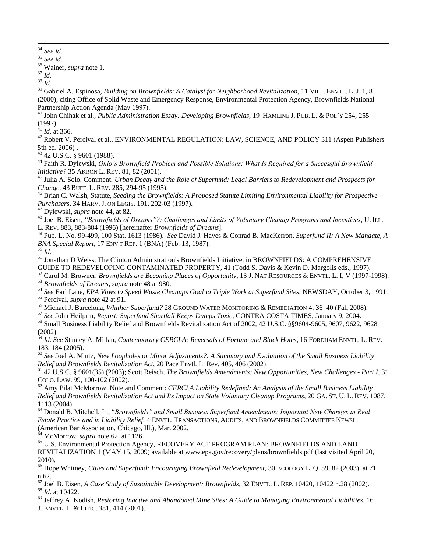34  $\frac{34}{35}$  *See id.* 

<sup>35</sup> *See id.* 

<sup>36</sup> Wainer, *supra* note 1.

<sup>37</sup> *Id.*

<sup>38</sup> *Id.* 

<sup>39</sup> Gabriel A. Espinosa, *Building on [Brownfields: A Catalyst for Neighborhood Revitalization](http://web2.westlaw.com/find/default.wl?referencepositiontype=S&serialnum=0119539188&referenceposition=8&rp=%2ffind%2fdefault.wl&sv=Split&rs=WLW10.03&db=100500&tf=-1&findtype=Y&fn=_top&mt=Westlaw&vr=2.0&pbc=DE4AD299&tc=-1&ordoc=0287718317)*, 11 VILL. ENVTL. L. J. 1, 8 [\(2000\),](http://web2.westlaw.com/find/default.wl?referencepositiontype=S&serialnum=0119539188&referenceposition=8&rp=%2ffind%2fdefault.wl&sv=Split&rs=WLW10.03&db=100500&tf=-1&findtype=Y&fn=_top&mt=Westlaw&vr=2.0&pbc=DE4AD299&tc=-1&ordoc=0287718317) citing Office of Solid Waste and Emergency Response, Environmental Protection Agency, Brownfields National Partnership Action Agenda (May 1997).

<sup>40</sup> John Chihak et al., *Public Administration Essay: [Developing Brownfields](http://web2.westlaw.com/find/default.wl?referencepositiontype=S&serialnum=0110076160&referenceposition=255&rp=%2ffind%2fdefault.wl&sv=Split&rs=WLW10.03&db=100179&tf=-1&findtype=Y&fn=_top&mt=Westlaw&vr=2.0&pbc=9BCCF945&tc=-1&ordoc=0300922146)*, 19 HAMLINE J. PUB. L. & POL"Y 254, 255 [\(1997\).](http://web2.westlaw.com/find/default.wl?referencepositiontype=S&serialnum=0110076160&referenceposition=255&rp=%2ffind%2fdefault.wl&sv=Split&rs=WLW10.03&db=100179&tf=-1&findtype=Y&fn=_top&mt=Westlaw&vr=2.0&pbc=9BCCF945&tc=-1&ordoc=0300922146)

 $41$  *Id.* at 366.

<sup>42</sup> Robert V. Percival et al., ENVIRONMENTAL REGULATION: LAW, SCIENCE, AND POLICY 311 (Aspen Publishers 5th ed. 2006) .

<sup>43</sup> [42 U.S.C. § 9601 \(1988\).](http://web2.westlaw.com/find/default.wl?tc=-1&docname=42USCAS9601&rp=%2ffind%2fdefault.wl&sv=Split&rs=WLW10.03&db=1000546&tf=-1&findtype=L&fn=_top&mt=Westlaw&vr=2.0&pbc=DE4AD299&ordoc=0287718317)

<sup>44</sup> [Faith R. Dylewski,](http://web2.westlaw.com/find/default.wl?tf=-1&rs=WLW10.04&fn=_top&sv=Split&docname=0273621601&tc=-1&pbc=12E7F16C&ordoc=0287718317&findtype=h&db=PROFILER-WLD&vr=2.0&rp=%2ffind%2fdefault.wl&mt=Westlaw) *Ohio's Brownfield Problem and Possible Solutions: What Is Required for a Successful Brownfield Initiative?* 35 AKRON L. REV. 81, 82 (2001).

<sup>45</sup> Julia A. Solo, Comment, *[Urban Decay and the Role of Superfund: Legal Barriers to Redevelopment and Prospects for](http://web2.westlaw.com/find/default.wl?tf=-1&rs=WLW10.04&referencepositiontype=S&serialnum=0105326486&fn=_top&sv=Split&referenceposition=294&pbc=12E7F16C&tc=-1&ordoc=0287718317&findtype=Y&db=1104&vr=2.0&rp=%2ffind%2fdefault.wl&mt=Westlaw)  Change,* 43 BUFF. L. REV. [285, 294-95 \(1995\).](http://web2.westlaw.com/find/default.wl?tf=-1&rs=WLW10.04&referencepositiontype=S&serialnum=0105326486&fn=_top&sv=Split&referenceposition=294&pbc=12E7F16C&tc=-1&ordoc=0287718317&findtype=Y&db=1104&vr=2.0&rp=%2ffind%2fdefault.wl&mt=Westlaw)

<sup>46</sup> Brian C. Walsh, Statute, *[Seeding the Brownfields: A Proposed Statute Limiting Environmental Liability for Prospective](http://web2.westlaw.com/find/default.wl?tf=-1&rs=WLW10.04&referencepositiontype=S&serialnum=0107277652&fn=_top&sv=Split&referenceposition=202&pbc=12E7F16C&tc=-1&ordoc=0287718317&findtype=Y&db=1155&vr=2.0&rp=%2ffind%2fdefault.wl&mt=Westlaw)  Purchasers,* 34 HARV. J. ON LEGIS[. 191, 202-03 \(1997\).](http://web2.westlaw.com/find/default.wl?tf=-1&rs=WLW10.04&referencepositiontype=S&serialnum=0107277652&fn=_top&sv=Split&referenceposition=202&pbc=12E7F16C&tc=-1&ordoc=0287718317&findtype=Y&db=1155&vr=2.0&rp=%2ffind%2fdefault.wl&mt=Westlaw)

<sup>47</sup> Dylewski, *supra* note 44, at 82.

<sup>48</sup> Joel B. Eisen, *"Brownfields of Dreams"?: Challenges and Limits of Voluntary Cleanup Programs and Incentives*, U. ILL. L. REV. 883, 883-884 (1996) [hereinafter *Brownfields of Dreams*].

<sup>49</sup> [Pub. L. No. 99-499, 100 Stat. 1613 \(1986\).](http://web2.westlaw.com/find/default.wl?tf=-1&rs=WLW10.04&fn=_top&sv=Split&docname=UUID(IB563105192-3E40B8A9DF6-14B88C27691)&tc=-1&pbc=737C5555&ordoc=0108845883&findtype=l&db=1077005&vr=2.0&rp=%2ffind%2fdefault.wl&mt=Westlaw) *See* David J. Hayes & Conrad B. MacKerron, *Superfund II: A New Mandate, A BNA Special Report,* 17 ENV'T REP. 1 (BNA) (Feb. 13, 1987).

*<sup>50</sup> Id.*

<sup>51</sup> Jonathan D Weiss, The Clinton Administration's Brownfields Initiative, in BROWNFIELDS: A COMPREHENSIVE GUIDE TO REDEVELOPING CONTAMINATED PROPERTY, 41 (Todd S. Davis & Kevin D. Margolis eds., 1997).

<sup>52</sup> Carol M. Browner, *Brownfields are Becoming Places of Opportunity*, 13 J. NAT RESOURCES & ENVTL. L. I, V (1997-1998).

<sup>53</sup> *Brownfields of Dreams, supra* note 48 at 980.

<sup>54</sup> *See* Earl Lane, *EPA Vows to Speed Waste Cleanups Goal to Triple Work at Superfund Sites*, NEWSDAY, October 3, 1991. <sup>55</sup> Percival, *supra* note 42 at 91.

<sup>56</sup> Michael J. Barcelona, *Whither Superfund?* 28 GROUND WATER MONITORING & REMEDIATION 4, 36–40 (Fall 2008).

<sup>57</sup> *See* John Heilprin, *Report: Superfund Shortfall Keeps Dumps Toxic*, CONTRA COSTA TIMES, January 9, 2004.

<sup>58</sup> Small Business Liability Relief and Brownfields Revitalization Act of 2002, [42 U.S.C. §§9604](http://web2.westlaw.com/find/default.wl?tf=-1&rs=WLW10.03&fn=_top&sv=Split&docname=42USCAS9604&tc=-1&pbc=CBAF4801&ordoc=0343582371&findtype=L&db=1000546&vr=2.0&rp=%2ffind%2fdefault.wl&mt=Westlaw)[-9605,](http://web2.westlaw.com/find/default.wl?tf=-1&rs=WLW10.03&fn=_top&sv=Split&docname=42USCAS9605&tc=-1&pbc=CBAF4801&ordoc=0343582371&findtype=L&db=1000546&vr=2.0&rp=%2ffind%2fdefault.wl&mt=Westlaw) [9607,](http://web2.westlaw.com/find/default.wl?tf=-1&rs=WLW10.03&fn=_top&sv=Split&docname=42USCAS9607&tc=-1&pbc=CBAF4801&ordoc=0343582371&findtype=L&db=1000546&vr=2.0&rp=%2ffind%2fdefault.wl&mt=Westlaw) [9622,](http://web2.westlaw.com/find/default.wl?tf=-1&rs=WLW10.03&fn=_top&sv=Split&docname=42USCAS9622&tc=-1&pbc=CBAF4801&ordoc=0343582371&findtype=L&db=1000546&vr=2.0&rp=%2ffind%2fdefault.wl&mt=Westlaw) [9628](http://web2.westlaw.com/find/default.wl?tf=-1&rs=WLW10.03&fn=_top&sv=Split&docname=42USCAS9628&tc=-1&pbc=CBAF4801&ordoc=0343582371&findtype=L&db=1000546&vr=2.0&rp=%2ffind%2fdefault.wl&mt=Westlaw)  [\(2002\).](http://web2.westlaw.com/find/default.wl?tf=-1&rs=WLW10.03&fn=_top&sv=Split&docname=42USCAS9628&tc=-1&pbc=CBAF4801&ordoc=0343582371&findtype=L&db=1000546&vr=2.0&rp=%2ffind%2fdefault.wl&mt=Westlaw)

<sup>59</sup> *Id. See* Stanley A. Millan, *Contemporary CERCLA: Reversals of Fortune and Black Holes*, 16 FORDHAM ENVTL. L. REV. 183, 184 (2005).

<sup>60</sup> *See* Joel A. Mintz, *[New Loopholes or Minor Adjustments?: A Summary and Evaluation of the Small Business Liability](http://web2.westlaw.com/find/default.wl?tf=-1&rs=WLW10.04&referencepositiontype=S&serialnum=0295877099&fn=_top&sv=Split&referenceposition=406&pbc=969F8FDF&tc=-1&ordoc=0300922146&findtype=Y&db=1473&vr=2.0&rp=%2ffind%2fdefault.wl&mt=Westlaw)  [Relief and Brownfields Revitalization Act](http://web2.westlaw.com/find/default.wl?tf=-1&rs=WLW10.04&referencepositiontype=S&serialnum=0295877099&fn=_top&sv=Split&referenceposition=406&pbc=969F8FDF&tc=-1&ordoc=0300922146&findtype=Y&db=1473&vr=2.0&rp=%2ffind%2fdefault.wl&mt=Westlaw)*, 20 Pace Envtl. L. Rev. 405, 406 (2002).

<sup>61</sup> [42 U.S.C. § 9601\(35\)](http://web2.westlaw.com/find/default.wl?tf=-1&rs=WLW10.04&referencepositiontype=T&referenceposition=SP%3b4cf600006f201&fn=_top&sv=Split&docname=42USCAS9601&tc=-1&pbc=969F8FDF&ordoc=0300922146&findtype=L&db=1000546&vr=2.0&rp=%2ffind%2fdefault.wl&mt=Westlaw) (2003); Scott Reisch, *The [Brownfields Amendments: New Opportunities, New Challenges -](http://web2.westlaw.com/find/default.wl?tf=-1&rs=WLW10.04&referencepositiontype=S&serialnum=0289643746&fn=_top&sv=Split&referenceposition=100&pbc=969F8FDF&tc=-1&ordoc=0300922146&findtype=Y&db=1116&vr=2.0&rp=%2ffind%2fdefault.wl&mt=Westlaw) Part I*, 31 COLO. LAW. [99, 100-102 \(2002\).](http://web2.westlaw.com/find/default.wl?tf=-1&rs=WLW10.04&referencepositiontype=S&serialnum=0289643746&fn=_top&sv=Split&referenceposition=100&pbc=969F8FDF&tc=-1&ordoc=0300922146&findtype=Y&db=1116&vr=2.0&rp=%2ffind%2fdefault.wl&mt=Westlaw)

<sup>62</sup> [Amy Pilat McMorrow,](http://web2.westlaw.com/find/default.wl?tc=-1&docname=0358926601&rp=%2ffind%2fdefault.wl&sv=Split&rs=WLW10.03&db=PROFILER-WLD&tf=-1&findtype=h&fn=_top&mt=Westlaw&vr=2.0&pbc=9BCCF945&ordoc=0300922146) Note and Comment: *CERCLA Liability Redefined: An Analysis of the Small Business Liability Relief and Brownfields Revitalization Act and Its Impact on State Voluntary Cleanup Programs*, 20 GA. ST. U. L. REV. 1087, 1113 (2004).

<sup>63</sup> Donald B. Mitchell, Jr., "*Brownfields" and Small Business Superfund Amendments: Important New Changes in Real Estate Practice and in Liability Relief*, 4 ENVTL. TRANSACTIONS, AUDITS, AND BROWNFIELDS COMMITTEE NEWSL. (American Bar Association, Chicago, Ill.), Mar. 2002.

<sup>64</sup> [McMorrow,](http://web2.westlaw.com/find/default.wl?tc=-1&docname=0358926601&rp=%2ffind%2fdefault.wl&sv=Split&rs=WLW10.03&db=PROFILER-WLD&tf=-1&findtype=h&fn=_top&mt=Westlaw&vr=2.0&pbc=9BCCF945&ordoc=0300922146) *supra* note 62, at 1126.

<sup>65</sup> U.S. Environmental Protection Agency, RECOVERY ACT PROGRAM PLAN: BROWNFIELDS AND LAND REVITALIZATION 1 (MAY 15, 2009) available at www.epa.gov/recovery/plans/brownfields.pdf (last visited April 20, 2010).

<sup>66</sup> Hope Whitney, *[Cities and Superfund: Encouraging Brownfield Redevelopment](http://web2.westlaw.com/find/default.wl?referencepositiontype=S&serialnum=0294187336&referenceposition=82&rp=%2ffind%2fdefault.wl&sv=Split&rs=WLW10.03&db=1450&tf=-1&findtype=Y&fn=_top&mt=Westlaw&vr=2.0&pbc=9BCCF945&tc=-1&ordoc=0300922146)*, 30 ECOLOGY L. Q. 59, 82 (2003), at 71 n.62.

<sup>67</sup> Joel B. Eisen, *A Case Study of Sustainable Development: Brownfields*, 32 ENVTL. L. REP. 10420, 10422 n.28 (2002). <sup>68</sup> *Id.* at 10422.

<sup>69</sup> Jeffrey A. Kodish, *Restoring Inactive and Abandoned Mine Sites: A Guide to Managing Environmental Liabilities*, 16 J. ENVTL. L. & LITIG. 381, 414 (2001).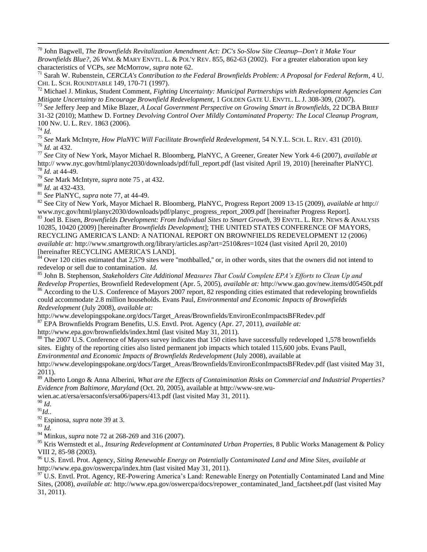<sup>70</sup> John Bagwell, *The [Brownfields Revitalization Amendment Act: DC's So-Slow Site Cleanup--Don't it Make Your](http://web2.westlaw.com/find/default.wl?tf=-1&rs=WLW10.04&referencepositiontype=S&serialnum=0289910013&fn=_top&sv=Split&referenceposition=862&pbc=C1527255&tc=-1&ordoc=0300922146&findtype=Y&db=106616&vr=2.0&rp=%2ffind%2fdefault.wl&mt=Westlaw)  Brownfields Blue?*, 26 WM. & MARY ENVTL. L. & POL'Y REV. [855, 862-63 \(2002\).](http://web2.westlaw.com/find/default.wl?tf=-1&rs=WLW10.04&referencepositiontype=S&serialnum=0289910013&fn=_top&sv=Split&referenceposition=862&pbc=C1527255&tc=-1&ordoc=0300922146&findtype=Y&db=106616&vr=2.0&rp=%2ffind%2fdefault.wl&mt=Westlaw) For a greater elaboration upon key characteristics of VCPs, *see* McMorrow, *supra* note 62.

<sup>71</sup> Sarah W. Rubenstein, *CERCLA's Contribution to the Federal Brownfields Problem: A Proposal for Federal Reform*, 4 U. CHI. L. SCH. ROUNDTABLE 149, 170-71 (1997).

<sup>72</sup> Michael J. Minkus, Student Comment, *Fighting Uncertainty: Municipal Partnerships with Redevelopment Agencies Can Mitigate Uncertainty to Encourage Brownfield Redevelopment*, 1 GOLDEN GATE U. ENVTL. L. J. 308-309, (2007).

<sup>73</sup> *See* [Jeffery Jeep](http://web2.westlaw.com/find/default.wl?tf=-1&rs=WLW10.03&fn=_top&sv=Split&docname=0139583201&tc=-1&pbc=A927090C&ordoc=0350891672&findtype=h&db=PROFILER-WLD&vr=2.0&rp=%2ffind%2fdefault.wl&mt=Westlaw) and Mike Blazer, *A Local Government Perspective on Growing Smart in Brownfields,* 22 DCBA BRIEF 31-32 (2010); [Matthew D. Fortney](http://web2.westlaw.com/find/default.wl?tf=-1&rs=WLW10.04&fn=_top&sv=Split&docname=0369302301&tc=-1&pbc=7F638552&ordoc=0328937229&findtype=h&db=PROFILER-WLD&vr=2.0&rp=%2ffind%2fdefault.wl&mt=Westlaw) *Devolving Control Over Mildly Contaminated Property: The Local Cleanup Program,*  100 NW. U. L. REV. 1863 (2006).

<sup>74</sup> *Id.*

 $\overline{a}$ 

<sup>75</sup> *See* Mark McIntyre, *How PlaNYC Will Facilitate Brownfield Redevelopment,* 54 N.Y.L. SCH. L. REV. 431 (2010).

<sup>76</sup> *Id.* at 432.

<sup>77</sup> *See* City of New York, Mayor Michael R. Bloomberg, PlaNYC, A Greener, Greater New York 4-6 (2007), *available at* http:// www.nyc.gov/html/planyc2030/downloads/pdf/full\_report.pdf (last visited April 19, 2010) [hereinafter PlaNYC]. <sup>78</sup> *Id.* at 44-49.

<sup>79</sup> *See* Mark McIntyre, *supra* note 75 , at 432.

<sup>80</sup> *Id.* at 432-433.

<sup>81</sup> *See* PlaNYC, *supra* note 77, at 44-49.

<sup>82</sup> See City of New York, Mayor Michael R. Bloomberg, PlaNYC, Progress Report 2009 13-15 (2009), *available at* http:// www.nyc.gov/html/planyc2030/downloads/pdf/planyc\_progress\_report\_2009.pdf [hereinafter Progress Report].

<sup>83</sup> Joel B. Eisen, *Brownfields Development: From Individual Sites to Smart Growth*, 39 ENVTL. L. REP. NEWS & ANALYSIS 10285, 10420 (2009) [hereinafter *Brownfields Development*]; THE UNITED STATES CONFERENCE OF MAYORS, RECYCLING AMERICA'S LAND: A NATIONAL REPORT ON BROWNFIELDS REDEVELOPMENT 12 (2006) *available at:* <http://www.smartgrowth.org/library/articles.asp?art=2510&res=1024> (last visited April 20, 2010) [hereinafter RECYCLING AMERICA'S LAND].

 $84$  Over 120 cities estimated that 2,579 sites were "mothballed," or, in other words, sites that the owners did not intend to redevelop or sell due to contamination. *Id.*

<sup>85</sup> John B. Stephenson, *Stakeholders Cite Additional Measures That Could Complete EPA's Efforts to Clean Up and Redevelop Properties*, Brownfield Redevelopment (Apr. 5, 2005), *available at:* <http://www.gao.gov/new.items/d05450t.pdf> <sup>86</sup> According to the U.S. Conference of Mayors 2007 report, 82 responding cities estimated that redeveloping brownfields

could accommodate 2.8 million households. Evans Paul, *Environmental and Economic Impacts of Brownfields Redevelopment* (July 2008), *available at:*

[http://www.developingspokane.org/docs/Target\\_Areas/Brownfields/EnvironEconImpactsBFRedev.pdf](http://www.developingspokane.org/docs/Target_Areas/Brownfields/EnvironEconImpactsBFRedev.pdf)

<sup>87</sup> EPA Brownfields Program Benefits, U.S. Envtl. Prot. Agency (Apr. 27, 2011), *available at:*

<http://www.epa.gov/brownfields/index.html> (last visited May 31, 2011).

<sup>88</sup> The 2007 U.S. Conference of Mayors survey indicates that 150 cities have successfully redeveloped 1,578 brownfields sites. Eighty of the reporting cities also listed permanent job impacts which totaled 115,600 jobs. Evans Paull,

*Environmental and Economic Impacts of Brownfields Redevelopment* (July 2008), available at

[http://www.developingspokane.org/docs/Target\\_Areas/Brownfields/EnvironEconImpactsBFRedev.pdf](http://www.developingspokane.org/docs/Target_Areas/Brownfields/EnvironEconImpactsBFRedev.pdf) (last visited May 31, 2011).

<sup>89</sup> Alberto Longo & Anna Alberini, *What are the Effects of Contaimination Risks on Commercial and Industrial Properties? Evidence from Baltimore, Maryland* (Oct. 20, 2005), available at [http://www-sre.wu-](http://www-sre.wu-wien.ac.at/ersa/ersaconfs/ersa06/papers/413.pdf)

[wien.ac.at/ersa/ersaconfs/ersa06/papers/413.pdf](http://www-sre.wu-wien.ac.at/ersa/ersaconfs/ersa06/papers/413.pdf) (last visited May 31, 2011).

<sup>90</sup> *Id*.

<sup>91</sup>*Id.*.

<sup>92</sup> Espinosa, *supra* note 39 at 3.

<sup>93</sup> *Id.*

<sup>94</sup> Minkus, *supra* note 72 at 268-269 and 316 (2007).

<sup>95</sup> Kris Wernstedt et al., *Insuring Redevelopment at Contaminated Urban Properties,* 8 Public Works Management & Policy VIII 2, 85-98 (2003).

<sup>96</sup> U.S. Envtl. Prot. Agency, *Siting Renewable Energy on Potentially Contaminated Land and Mine Sites*, *available at* <http://www.epa.gov/oswercpa/index.htm> (last visited May 31, 2011).

 $97 \text{ U.S.}$  Envtl. Prot. Agency, RE-Powering America's Land: Renewable Energy on Potentially Contaminated Land and Mine Sites, (2008), *available at:* [http://www.epa.gov/oswercpa/docs/repower\\_contaminated\\_land\\_factsheet.pdf](http://www.epa.gov/oswercpa/docs/repower_contaminated_land_factsheet.pdf) (last visited May 31, 2011).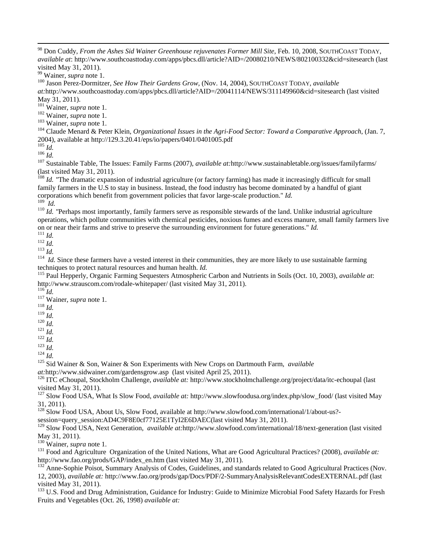<sup>100</sup> Jason Perez-Dormitzer, *See How Their Gardens Grow,* (Nov. 14, 2004), SOUTHCOAST TODAY, *available* 

*at:*<http://www.southcoasttoday.com/apps/pbcs.dll/article?AID=/20041114/NEWS/311149960&cid=sitesearch> (last visited May 31, 2011).

<sup>101</sup> Wainer, *supra* note 1.

<sup>102</sup> Wainer, *supra* note 1.

<sup>103</sup> Wainer, *supra* note 1.

<sup>104</sup> Claude Menard & Peter Klein, *Organizational Issues in the Agri-Food Sector: Toward a Comparative Approach*, (Jan. 7, 2004), available a[t http://129.3.20.41/eps/io/papers/0401/0401005.pdf](http://129.3.20.41/eps/io/papers/0401/0401005.pdf)

 $105$  *Id.* 

 $\overline{a}$ 

<sup>106</sup> *Id.*

<sup>107</sup> Sustainable Table, The Issues: Family Farms (2007), *available at:*<http://www.sustainabletable.org/issues/familyfarms/> (last visited May 31, 2011).

<sup>108</sup> *Id.* "The dramatic expansion of industrial agriculture (or [factory farming\)](http://www.sustainabletable.org/issues/factoryfarming) has made it increasingly difficult for small family farmers in the U.S to stay in business. Instead, the food industry has become dominated by a handful of giant corporations which benefit from [government policies](http://www.sustainabletable.org/issues/policy) that favor large-scale production." *Id.* 109 *Id.*

<sup>110</sup> *Id.* "Perhaps most importantly, family farmers serve as responsible stewards of the land. Unlike industrial agriculture operations, which pollute communities with chemical [pesticides,](http://www.sustainabletable.org/issues/pesticides) noxious [fumes](http://www.sustainabletable.org/issues/airpollution) and excess [manure,](http://www.sustainabletable.org/issues/waste) small family farmers live on or near their farms and strive to preserve the surrounding environment for future generations." *Id.*

<sup>111</sup> *Id.*

<sup>112</sup> *Id.*

<sup>113</sup> *Id.*

<sup>114</sup> *Id.* Since these farmers have a vested interest in their communities, they are more likely to use sustainable farming techniques to protect natural resources and human health. *Id.*

<sup>115</sup> Paul Hepperly, Organic Farming Sequesters Atmospheric Carbon and Nutrients in Soils (Oct. 10, 2003), *available at*: <http://www.strauscom.com/rodale-whitepaper/> (last visited May 31, 2011).

 $^{116}$ *Id.* 

<sup>117</sup> Wainer, *supra* note 1.

- <sup>118</sup> *Id.*
- <sup>119</sup> *Id.*

<sup>120</sup> *Id.*

<sup>121</sup> *Id.*

<sup>122</sup> *Id.*

<sup>123</sup> *Id.*

 $124$  *Id.* 

<sup>125</sup> Sid Wainer & Son, Wainer & Son Experiments with New Crops on Dartmouth Farm, *available* 

*at:*<http://www.sidwainer.com/gardensgrow.asp>(last visited April 25, 2011).

<sup>126</sup> ITC eChoupal, Stockholm Challenge, *available at:* <http://www.stockholmchallenge.org/project/data/itc-echoupal> (last visited May 31, 2011).

<sup>127</sup> Slow Food USA, What Is Slow Food, *available at:* [http://www.slowfoodusa.org/index.php/slow\\_food/](http://www.slowfoodusa.org/index.php/slow_food/) (last visited May 31, 2011).

<sup>128</sup> Slow Food USA, About Us, Slow Food, available at [http://www.slowfood.com/international/1/about-us?-](http://www.slowfood.com/international/1/about-us?-session=query_session:AD4C9F8E0cf77125E1TyI2E6DAEC)

[session=query\\_session:AD4C9F8E0cf77125E1TyI2E6DAEC\(](http://www.slowfood.com/international/1/about-us?-session=query_session:AD4C9F8E0cf77125E1TyI2E6DAEC)last visited May 31, 2011).

<sup>129</sup> Slow Food USA, Next Generation, *available at:*<http://www.slowfood.com/international/18/next-generation> (last visited May 31, 2011).

<sup>130</sup> Wainer, *supra* note 1.

<sup>131</sup> Food and Agriculture Organization of the United Nations, What are Good Agricultural Practices? (2008), *available at:* [http://www.fao.org/prods/GAP/index\\_en.htm](http://www.fao.org/prods/GAP/index_en.htm) (last visited May 31, 2011).

<sup>132</sup> Anne-Sophie Poisot, Summary Analysis of Codes, Guidelines, and standards related to Good Agricultural Practices (Nov. 12, 2003), *available at:* <http://www.fao.org/prods/gap/Docs/PDF/2-SummaryAnalysisRelevantCodesEXTERNAL.pdf> (last visited May 31, 2011).

<sup>133</sup> U.S. Food and Drug Administration, Guidance for Industry: Guide to Minimize Microbial Food Safety Hazards for Fresh Fruits and Vegetables (Oct. 26, 1998) *available at:*

<sup>98</sup> Don Cuddy, *From the Ashes Sid Wainer Greenhouse rejuvenates Former Mill Site*, Feb. 10, 2008, SOUTHCOAST TODAY, *available at*:<http://www.southcoasttoday.com/apps/pbcs.dll/article?AID=/20080210/NEWS/802100332&cid=sitesearch> (last visited May 31, 2011).

<sup>99</sup> Wainer, *supra* note 1.